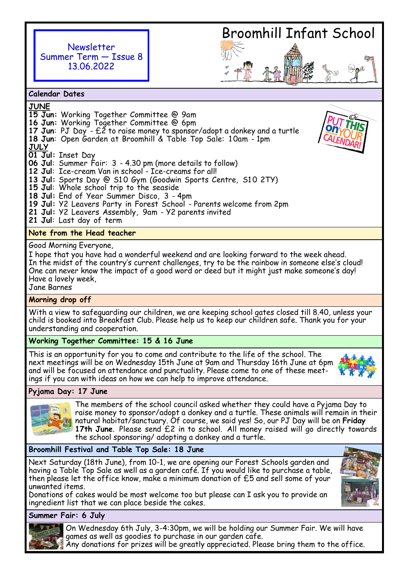

# Broomhill Infant School

**Calendar Dates**

**JUNE**

- **15 Jun:** Working Together Committee @ 9am **16 Jun:** Working Together Committee @ 6pm **17 Jun**: PJ Day - £2 to raise money to sponsor/adopt a donkey and a turtle
- **18 Jun**: Open Garden at Broomhill & Table Top Sale: 1 0am 1pm

**JULY**

**01 Jul:** Inset Day

- **06 Jul**: Summer Fair: 3 4.30 pm (more details to follow)
- **12 Jul**: Ice-cream Van in school Ice-creams for all!
- 13 Jul: Sports Day @ S10 Gym (Goodwin Sports Centre, S10 2TY)
- **15 Jul**: Whole school trip to the seaside
- **18 Jul:** End of Year Summer Disco, 3 4pm
- **19 Jul:** Y2 Leavers Party in Forest School Parents welcome from 2pm
- **21 Jul:** Y2 Leavers Assembly, 9am Y2 parents invited
- **21 Jul**: Last day of term

# **Note from the Head teacher**

Good Morning Everyone,

I hope that you have had a wonderful weekend and are looking forward to the week ahead. In the midst of the country's current challenges, try to be the rainbow in someone else's cloud! One can never know the impact of a good word or deed but it might just make someone's day! Have a lovely week,

Jane Barnes

## **Morning drop off**

With a view to safeguarding our children, we are keeping school gates closed till 8.40, unless your child is booked into Breakfast Club. Please help us to keep our children safe. Thank you for your understanding and cooperation.

## **Working Together Committee: 15 & 16 June**

This is an opportunity for you to come and contribute to the life of the school. The next meetings will be on Wednesday 15th June at 9am and Thursday 16th June at 6pm and will be focused on attendance and punctuality. Please come to one of these meetings if you can with ideas on how we can help to improve attendance.



## **Pyjama Day: 17 June**



The members of the school council asked whether they could have a Pyjama Day to raise money to sponsor/adopt a donkey and a turtle. These animals will remain in their natural habitat/sanctuary. Of course, we said yes! So, our PJ Day will be on **Friday 17th June**. Please send £2 in to school. All money raised will go directly towards the school sponsoring/ adopting a donkey and a turtle.

## **Broomhill Festival and Table Top Sale: 18 June**

Next Saturday (18th June), from 10-1, we are opening our Forest Schools garden and having a Table Top Sale as well as a garden café. If you would like to purchase a table, then please let the office know, make a minimum donation of £5 and sell some of your unwanted items.

Donations of cakes would be most welcome too but please can I ask you to provide an ingredient list that we can place beside the cakes.

**Summer Fair: 6 July**



On Wednesday 6th July, 3-4:30pm, we will be holding our Summer Fair. We will have games as well as goodies to purchase in our garden cafe.

Any donations for prizes will be greatly appreciated. Please bring them to the office.